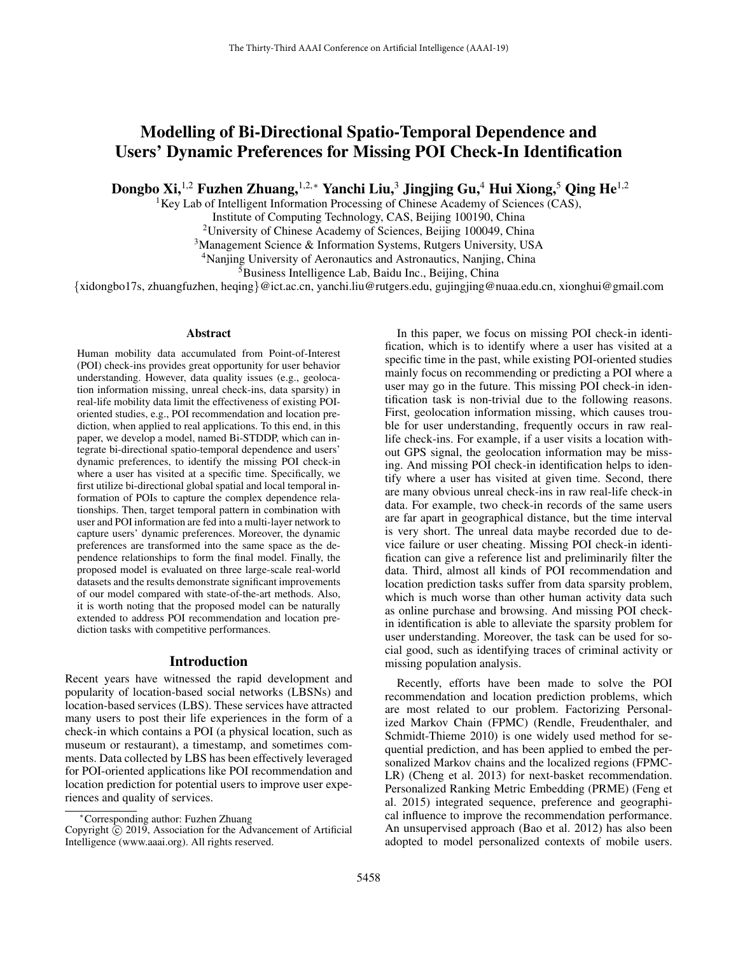# Modelling of Bi-Directional Spatio-Temporal Dependence and Users' Dynamic Preferences for Missing POI Check-In Identification

Dongbo Xi,<sup>1,2</sup> Fuzhen Zhuang,<sup>1,2,∗</sup> Yanchi Liu,<sup>3</sup> Jingjing Gu,<sup>4</sup> Hui Xiong,<sup>5</sup> Qing He<sup>1,2</sup>

<sup>1</sup>Key Lab of Intelligent Information Processing of Chinese Academy of Sciences (CAS),

Institute of Computing Technology, CAS, Beijing 100190, China

<sup>2</sup>University of Chinese Academy of Sciences, Beijing 100049, China

 $3$ Management Science & Information Systems, Rutgers University, USA

<sup>4</sup>Nanjing University of Aeronautics and Astronautics, Nanjing, China

<sup>5</sup>Business Intelligence Lab, Baidu Inc., Beijing, China

{xidongbo17s, zhuangfuzhen, heqing}@ict.ac.cn, yanchi.liu@rutgers.edu, gujingjing@nuaa.edu.cn, xionghui@gmail.com

#### Abstract

Human mobility data accumulated from Point-of-Interest (POI) check-ins provides great opportunity for user behavior understanding. However, data quality issues (e.g., geolocation information missing, unreal check-ins, data sparsity) in real-life mobility data limit the effectiveness of existing POIoriented studies, e.g., POI recommendation and location prediction, when applied to real applications. To this end, in this paper, we develop a model, named Bi-STDDP, which can integrate bi-directional spatio-temporal dependence and users' dynamic preferences, to identify the missing POI check-in where a user has visited at a specific time. Specifically, we first utilize bi-directional global spatial and local temporal information of POIs to capture the complex dependence relationships. Then, target temporal pattern in combination with user and POI information are fed into a multi-layer network to capture users' dynamic preferences. Moreover, the dynamic preferences are transformed into the same space as the dependence relationships to form the final model. Finally, the proposed model is evaluated on three large-scale real-world datasets and the results demonstrate significant improvements of our model compared with state-of-the-art methods. Also, it is worth noting that the proposed model can be naturally extended to address POI recommendation and location prediction tasks with competitive performances.

### Introduction

Recent years have witnessed the rapid development and popularity of location-based social networks (LBSNs) and location-based services (LBS). These services have attracted many users to post their life experiences in the form of a check-in which contains a POI (a physical location, such as museum or restaurant), a timestamp, and sometimes comments. Data collected by LBS has been effectively leveraged for POI-oriented applications like POI recommendation and location prediction for potential users to improve user experiences and quality of services.

In this paper, we focus on missing POI check-in identification, which is to identify where a user has visited at a specific time in the past, while existing POI-oriented studies mainly focus on recommending or predicting a POI where a user may go in the future. This missing POI check-in identification task is non-trivial due to the following reasons. First, geolocation information missing, which causes trouble for user understanding, frequently occurs in raw reallife check-ins. For example, if a user visits a location without GPS signal, the geolocation information may be missing. And missing POI check-in identification helps to identify where a user has visited at given time. Second, there are many obvious unreal check-ins in raw real-life check-in data. For example, two check-in records of the same users are far apart in geographical distance, but the time interval is very short. The unreal data maybe recorded due to device failure or user cheating. Missing POI check-in identification can give a reference list and preliminarily filter the data. Third, almost all kinds of POI recommendation and location prediction tasks suffer from data sparsity problem, which is much worse than other human activity data such as online purchase and browsing. And missing POI checkin identification is able to alleviate the sparsity problem for user understanding. Moreover, the task can be used for social good, such as identifying traces of criminal activity or missing population analysis.

Recently, efforts have been made to solve the POI recommendation and location prediction problems, which are most related to our problem. Factorizing Personalized Markov Chain (FPMC) (Rendle, Freudenthaler, and Schmidt-Thieme 2010) is one widely used method for sequential prediction, and has been applied to embed the personalized Markov chains and the localized regions (FPMC-LR) (Cheng et al. 2013) for next-basket recommendation. Personalized Ranking Metric Embedding (PRME) (Feng et al. 2015) integrated sequence, preference and geographical influence to improve the recommendation performance. An unsupervised approach (Bao et al. 2012) has also been adopted to model personalized contexts of mobile users.

<sup>∗</sup>Corresponding author: Fuzhen Zhuang

Copyright  $\odot$  2019, Association for the Advancement of Artificial Intelligence (www.aaai.org). All rights reserved.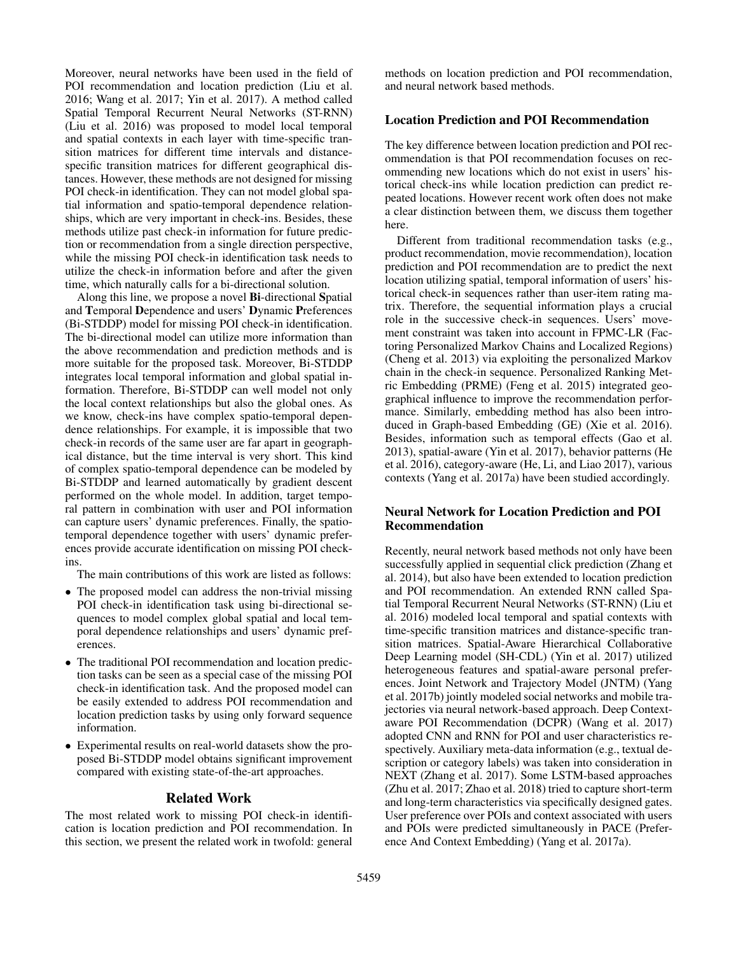Moreover, neural networks have been used in the field of POI recommendation and location prediction (Liu et al. 2016; Wang et al. 2017; Yin et al. 2017). A method called Spatial Temporal Recurrent Neural Networks (ST-RNN) (Liu et al. 2016) was proposed to model local temporal and spatial contexts in each layer with time-specific transition matrices for different time intervals and distancespecific transition matrices for different geographical distances. However, these methods are not designed for missing POI check-in identification. They can not model global spatial information and spatio-temporal dependence relationships, which are very important in check-ins. Besides, these methods utilize past check-in information for future prediction or recommendation from a single direction perspective, while the missing POI check-in identification task needs to utilize the check-in information before and after the given time, which naturally calls for a bi-directional solution.

Along this line, we propose a novel Bi-directional Spatial and Temporal Dependence and users' Dynamic Preferences (Bi-STDDP) model for missing POI check-in identification. The bi-directional model can utilize more information than the above recommendation and prediction methods and is more suitable for the proposed task. Moreover, Bi-STDDP integrates local temporal information and global spatial information. Therefore, Bi-STDDP can well model not only the local context relationships but also the global ones. As we know, check-ins have complex spatio-temporal dependence relationships. For example, it is impossible that two check-in records of the same user are far apart in geographical distance, but the time interval is very short. This kind of complex spatio-temporal dependence can be modeled by Bi-STDDP and learned automatically by gradient descent performed on the whole model. In addition, target temporal pattern in combination with user and POI information can capture users' dynamic preferences. Finally, the spatiotemporal dependence together with users' dynamic preferences provide accurate identification on missing POI checkins.

The main contributions of this work are listed as follows:

- The proposed model can address the non-trivial missing POI check-in identification task using bi-directional sequences to model complex global spatial and local temporal dependence relationships and users' dynamic preferences.
- The traditional POI recommendation and location prediction tasks can be seen as a special case of the missing POI check-in identification task. And the proposed model can be easily extended to address POI recommendation and location prediction tasks by using only forward sequence information.
- Experimental results on real-world datasets show the proposed Bi-STDDP model obtains significant improvement compared with existing state-of-the-art approaches.

## Related Work

The most related work to missing POI check-in identification is location prediction and POI recommendation. In this section, we present the related work in twofold: general methods on location prediction and POI recommendation, and neural network based methods.

## Location Prediction and POI Recommendation

The key difference between location prediction and POI recommendation is that POI recommendation focuses on recommending new locations which do not exist in users' historical check-ins while location prediction can predict repeated locations. However recent work often does not make a clear distinction between them, we discuss them together here.

Different from traditional recommendation tasks (e.g., product recommendation, movie recommendation), location prediction and POI recommendation are to predict the next location utilizing spatial, temporal information of users' historical check-in sequences rather than user-item rating matrix. Therefore, the sequential information plays a crucial role in the successive check-in sequences. Users' movement constraint was taken into account in FPMC-LR (Factoring Personalized Markov Chains and Localized Regions) (Cheng et al. 2013) via exploiting the personalized Markov chain in the check-in sequence. Personalized Ranking Metric Embedding (PRME) (Feng et al. 2015) integrated geographical influence to improve the recommendation performance. Similarly, embedding method has also been introduced in Graph-based Embedding (GE) (Xie et al. 2016). Besides, information such as temporal effects (Gao et al. 2013), spatial-aware (Yin et al. 2017), behavior patterns (He et al. 2016), category-aware (He, Li, and Liao 2017), various contexts (Yang et al. 2017a) have been studied accordingly.

# Neural Network for Location Prediction and POI Recommendation

Recently, neural network based methods not only have been successfully applied in sequential click prediction (Zhang et al. 2014), but also have been extended to location prediction and POI recommendation. An extended RNN called Spatial Temporal Recurrent Neural Networks (ST-RNN) (Liu et al. 2016) modeled local temporal and spatial contexts with time-specific transition matrices and distance-specific transition matrices. Spatial-Aware Hierarchical Collaborative Deep Learning model (SH-CDL) (Yin et al. 2017) utilized heterogeneous features and spatial-aware personal preferences. Joint Network and Trajectory Model (JNTM) (Yang et al. 2017b) jointly modeled social networks and mobile trajectories via neural network-based approach. Deep Contextaware POI Recommendation (DCPR) (Wang et al. 2017) adopted CNN and RNN for POI and user characteristics respectively. Auxiliary meta-data information (e.g., textual description or category labels) was taken into consideration in NEXT (Zhang et al. 2017). Some LSTM-based approaches (Zhu et al. 2017; Zhao et al. 2018) tried to capture short-term and long-term characteristics via specifically designed gates. User preference over POIs and context associated with users and POIs were predicted simultaneously in PACE (Preference And Context Embedding) (Yang et al. 2017a).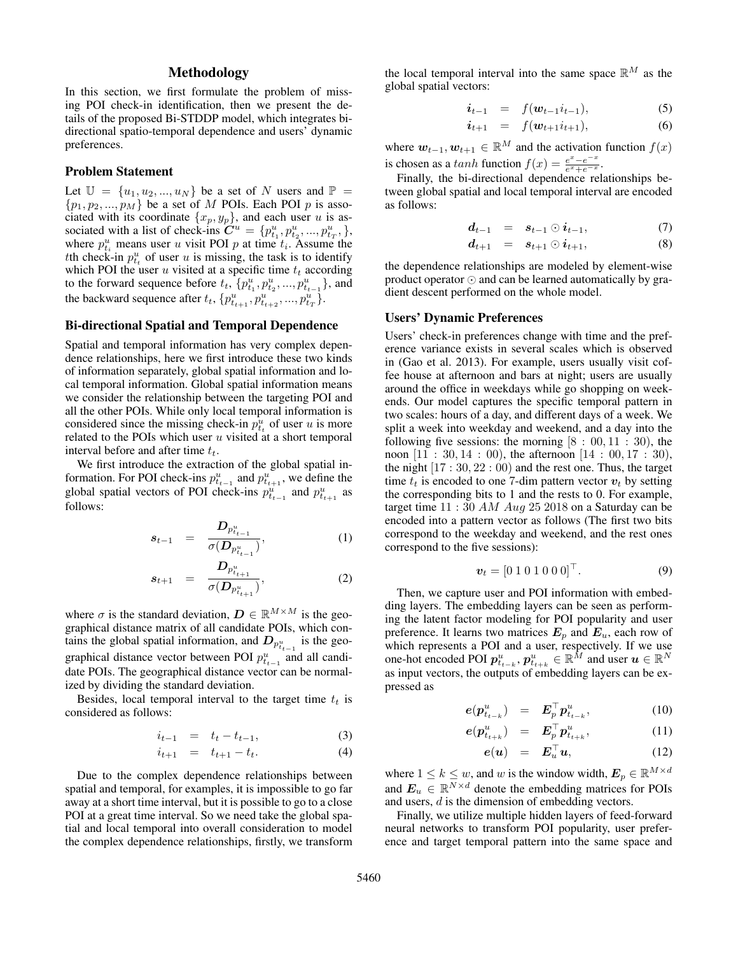## Methodology

In this section, we first formulate the problem of missing POI check-in identification, then we present the details of the proposed Bi-STDDP model, which integrates bidirectional spatio-temporal dependence and users' dynamic preferences.

## Problem Statement

Let  $\mathbb{U} = \{u_1, u_2, ..., u_N\}$  be a set of N users and  $\mathbb{P} =$  $\{p_1, p_2, ..., p_M\}$  be a set of M POIs. Each POI p is associated with its coordinate  $\{x_p, y_p\}$ , and each user u is associated with a list of check-ins  $\hat{C}^u = \{p_{t_1}^u, p_{t_2}^u, ..., p_{t_T}^u, \}$ , where  $p_{t_i}^u$  means user u visit POI p at time  $t_i$ . Assume the th check-in  $p_{t_t}^u$  of user u is missing, the task is to identify which POI the user  $u$  visited at a specific time  $t_t$  according to the forward sequence before  $t_t$ ,  $\{p_{t_1}^u, p_{t_2}^u, ..., p_{t_{t-1}}^u\}$ , and the backward sequence after  $t_t$ ,  $\{p_{t_{t+1}}^u, p_{t_{t+2}}^u, ..., p_{t_T}^u\}$ .

## Bi-directional Spatial and Temporal Dependence

Spatial and temporal information has very complex dependence relationships, here we first introduce these two kinds of information separately, global spatial information and local temporal information. Global spatial information means we consider the relationship between the targeting POI and all the other POIs. While only local temporal information is considered since the missing check-in  $p_{t_i}^u$  of user u is more related to the POIs which user  $u$  visited at a short temporal interval before and after time  $t_t$ .

We first introduce the extraction of the global spatial information. For POI check-ins  $p_{t_{t-1}}^u$  and  $p_{t_{t+1}}^u$ , we define the global spatial vectors of POI check-ins  $p_{t_{t-1}}^u$  and  $p_{t_{t+1}}^u$  as follows:

$$
s_{t-1} = \frac{D_{p_{t_{t-1}}^u}}{\sigma(D_{p_{t_{t-1}}^u})},\tag{1}
$$

$$
s_{t+1} = \frac{D_{p_{t+1}^u}}{\sigma(D_{p_{t+1}^u})}, \qquad (2)
$$

where  $\sigma$  is the standard deviation,  $D \in \mathbb{R}^{M \times M}$  is the geographical distance matrix of all candidate POIs, which contains the global spatial information, and  $D_{p_{t_{t-1}}^u}$  is the geographical distance vector between POI  $p_{t_{t-1}}^u$  and all candidate POIs. The geographical distance vector can be normalized by dividing the standard deviation.

Besides, local temporal interval to the target time  $t_t$  is considered as follows:

$$
i_{t-1} = t_t - t_{t-1}, \t\t(3)
$$

$$
i_{t+1} = t_{t+1} - t_t. \tag{4}
$$

Due to the complex dependence relationships between spatial and temporal, for examples, it is impossible to go far away at a short time interval, but it is possible to go to a close POI at a great time interval. So we need take the global spatial and local temporal into overall consideration to model the complex dependence relationships, firstly, we transform

the local temporal interval into the same space  $\mathbb{R}^M$  as the global spatial vectors:

$$
it-1 = f(wt-1it-1), \t(5)
$$

$$
\dot{\mathbf{i}}_{t+1} = f(\mathbf{w}_{t+1}i_{t+1}), \tag{6}
$$

where  $w_{t-1}, w_{t+1} \in \mathbb{R}^M$  and the activation function  $f(x)$ is chosen as a tanh function  $f(x) = \frac{e^x - e^{-x}}{e^x + e^{-x}}$  $\frac{e^x-e^{-x}}{e^x+e^{-x}}$ .

Finally, the bi-directional dependence relationships between global spatial and local temporal interval are encoded as follows:

$$
d_{t-1} = s_{t-1} \odot i_{t-1}, \qquad (7)
$$

$$
d_{t+1} = s_{t+1} \odot i_{t+1}, \qquad (8)
$$

the dependence relationships are modeled by element-wise product operator  $\odot$  and can be learned automatically by gradient descent performed on the whole model.

## Users' Dynamic Preferences

Users' check-in preferences change with time and the preference variance exists in several scales which is observed in (Gao et al. 2013). For example, users usually visit coffee house at afternoon and bars at night; users are usually around the office in weekdays while go shopping on weekends. Our model captures the specific temporal pattern in two scales: hours of a day, and different days of a week. We split a week into weekday and weekend, and a day into the following five sessions: the morning  $[8:00,11:30)$ , the noon  $[11 : 30, 14 : 00)$ , the afternoon  $[14 : 00, 17 : 30)$ , the night  $[17:30, 22:00)$  and the rest one. Thus, the target time  $t_t$  is encoded to one 7-dim pattern vector  $v_t$  by setting the corresponding bits to 1 and the rests to 0. For example, target time  $11:30$  *AM Aug* 25 2018 on a Saturday can be encoded into a pattern vector as follows (The first two bits correspond to the weekday and weekend, and the rest ones correspond to the five sessions):

$$
\boldsymbol{v}_t = [0 \ 1 \ 0 \ 1 \ 0 \ 0 \ 0]^\top. \tag{9}
$$

Then, we capture user and POI information with embedding layers. The embedding layers can be seen as performing the latent factor modeling for POI popularity and user preference. It learns two matrices  $E_p$  and  $E_u$ , each row of which represents a POI and a user, respectively. If we use one-hot encoded POI  $p_{t_{t-k}}^u$ ,  $p_{t_{t+k}}^u \in \mathbb{R}^M$  and user  $u \in \mathbb{R}^N$ as input vectors, the outputs of embedding layers can be expressed as

$$
e(\boldsymbol{p}^u_{t_{t-k}}) = \boldsymbol{E}_p^\top \boldsymbol{p}^u_{t_{t-k}}, \qquad (10)
$$

$$
e(p_{t_{t+k}}^u) = \mathbf{E}_p^\top \mathbf{p}_{t_{t+k}}^u, \qquad (11)
$$

$$
\boldsymbol{e}(\boldsymbol{u}) = \boldsymbol{E}_u^{\top} \boldsymbol{u}, \qquad (12)
$$

where  $1 \leq k \leq w$ , and w is the window width,  $E_p \in \mathbb{R}^{M \times d}$ and  $E_u \in \mathbb{R}^{N \times d}$  denote the embedding matrices for POIs and users, d is the dimension of embedding vectors.

Finally, we utilize multiple hidden layers of feed-forward neural networks to transform POI popularity, user preference and target temporal pattern into the same space and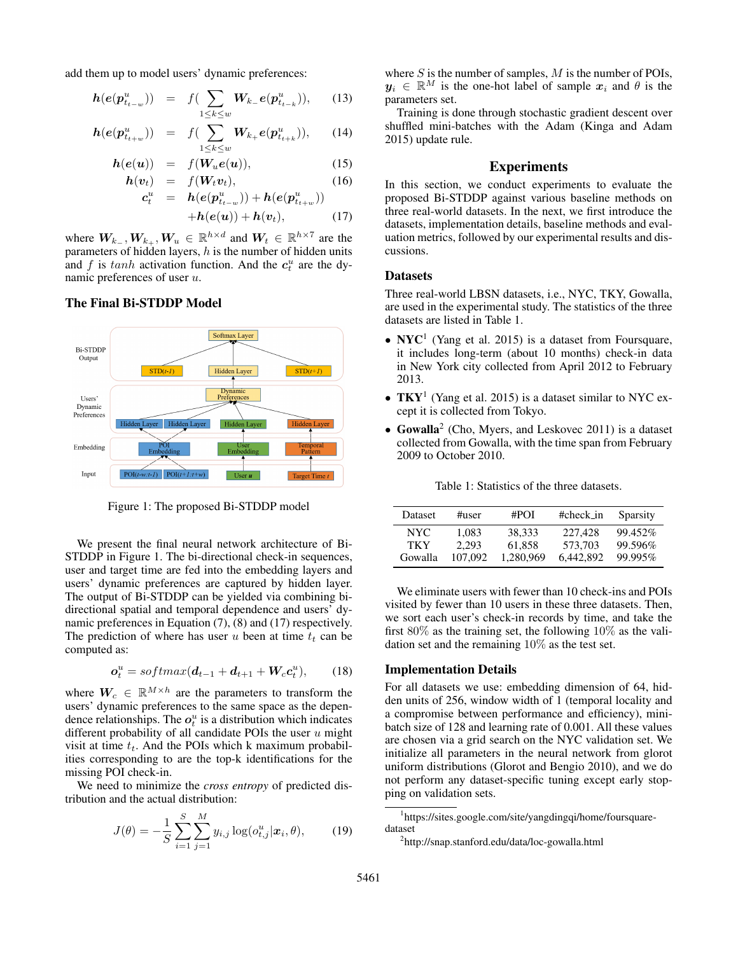add them up to model users' dynamic preferences:

$$
h(e(p_{t_{t-w}}^u)) = f(\sum_{1 \leq k \leq w} W_{k_{-}} e(p_{t_{t-k}}^u)), \qquad (13)
$$

$$
h(e(p_{t_{t+w}}^u)) = f(\sum_{1 \leq k \leq w} W_{k+}e(p_{t_{t+k}}^u)), \qquad (14)
$$

$$
h(e(u)) = f(W_u e(u)),
$$
  
\n
$$
h(v_t) = f(W_t v_t).
$$
\n(15)

$$
c_t^u = h(e(p_{t_{t-w}}^u)) + h(e(p_{t_{t+w}}^u))
$$
  
+h(e(u)) + h(v\_t), (17)

where  $W_{k_-}, W_{k_+}, W_u \in \mathbb{R}^{h \times d}$  and  $W_t \in \mathbb{R}^{h \times 7}$  are the parameters of hidden layers,  $h$  is the number of hidden units and f is tanh activation function. And the  $c_t^u$  are the dynamic preferences of user u.

## The Final Bi-STDDP Model



Figure 1: The proposed Bi-STDDP model

We present the final neural network architecture of Bi-STDDP in Figure 1. The bi-directional check-in sequences, user and target time are fed into the embedding layers and users' dynamic preferences are captured by hidden layer. The output of Bi-STDDP can be yielded via combining bidirectional spatial and temporal dependence and users' dynamic preferences in Equation (7), (8) and (17) respectively. The prediction of where has user  $u$  been at time  $t_t$  can be computed as:

$$
\boldsymbol{o}_t^u = softmax(\boldsymbol{d}_{t-1} + \boldsymbol{d}_{t+1} + \boldsymbol{W}_c \boldsymbol{c}_t^u),
$$
 (18)

where  $W_c \in \mathbb{R}^{M \times h}$  are the parameters to transform the users' dynamic preferences to the same space as the dependence relationships. The  $o_t^u$  is a distribution which indicates different probability of all candidate POIs the user  $u$  might visit at time  $t_t$ . And the POIs which k maximum probabilities corresponding to are the top-k identifications for the missing POI check-in.

We need to minimize the *cross entropy* of predicted distribution and the actual distribution:

$$
J(\theta) = -\frac{1}{S} \sum_{i=1}^{S} \sum_{j=1}^{M} y_{i,j} \log(o_{t,j}^u | \mathbf{x}_i, \theta),
$$
 (19)

where  $S$  is the number of samples,  $M$  is the number of POIs,  $y_i \in \mathbb{R}^M$  is the one-hot label of sample  $x_i$  and  $\theta$  is the parameters set.

Training is done through stochastic gradient descent over shuffled mini-batches with the Adam (Kinga and Adam 2015) update rule.

## Experiments

In this section, we conduct experiments to evaluate the proposed Bi-STDDP against various baseline methods on three real-world datasets. In the next, we first introduce the datasets, implementation details, baseline methods and evaluation metrics, followed by our experimental results and discussions.

#### **Datasets**

Three real-world LBSN datasets, i.e., NYC, TKY, Gowalla, are used in the experimental study. The statistics of the three datasets are listed in Table 1.

- NYC<sup>1</sup> (Yang et al. 2015) is a dataset from Foursquare, it includes long-term (about 10 months) check-in data in New York city collected from April 2012 to February 2013.
- $TKY<sup>1</sup>$  (Yang et al. 2015) is a dataset similar to NYC except it is collected from Tokyo.
- Gowalla<sup>2</sup> (Cho, Myers, and Leskovec 2011) is a dataset collected from Gowalla, with the time span from February 2009 to October 2010.

Table 1: Statistics of the three datasets.

| <b>Dataset</b> | #user   | #POI      | $#check_in$ | Sparsity |
|----------------|---------|-----------|-------------|----------|
| NYC.           | 1.083   | 38.333    | 227,428     | 99.452%  |
| TKY            | 2.293   | 61.858    | 573.703     | 99.596%  |
| Gowalla        | 107.092 | 1.280.969 | 6.442.892   | 99.995%  |

We eliminate users with fewer than 10 check-ins and POIs visited by fewer than 10 users in these three datasets. Then, we sort each user's check-in records by time, and take the first  $80\%$  as the training set, the following  $10\%$  as the validation set and the remaining  $10\%$  as the test set.

#### Implementation Details

For all datasets we use: embedding dimension of 64, hidden units of 256, window width of 1 (temporal locality and a compromise between performance and efficiency), minibatch size of 128 and learning rate of 0.001. All these values are chosen via a grid search on the NYC validation set. We initialize all parameters in the neural network from glorot uniform distributions (Glorot and Bengio 2010), and we do not perform any dataset-specific tuning except early stopping on validation sets.

<sup>1</sup> https://sites.google.com/site/yangdingqi/home/foursquaredataset

<sup>2</sup> http://snap.stanford.edu/data/loc-gowalla.html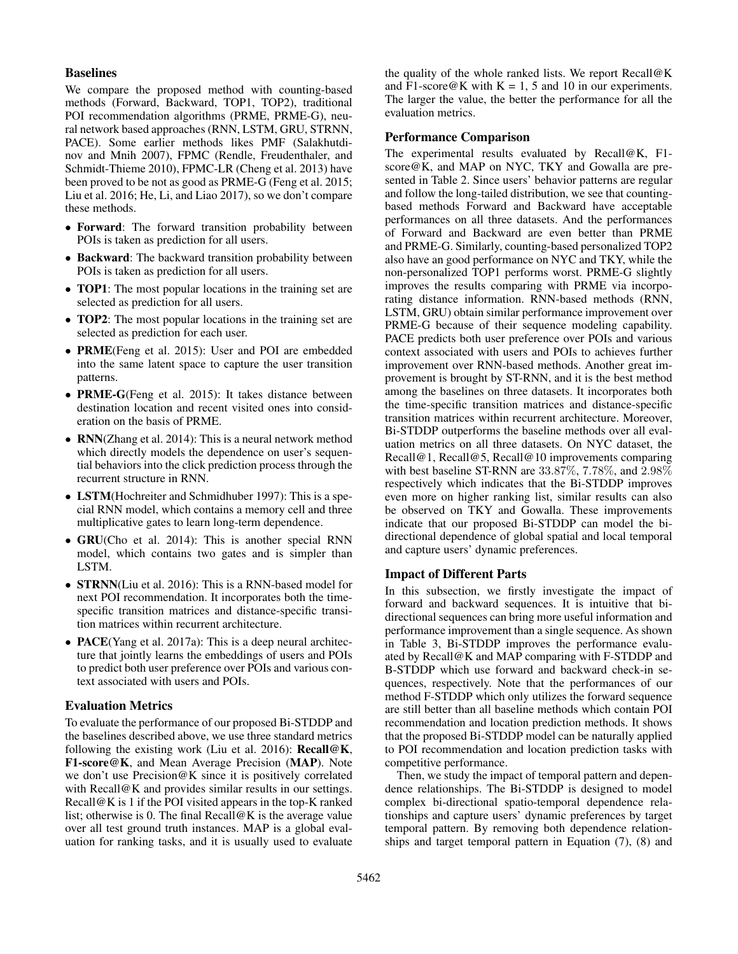## Baselines

We compare the proposed method with counting-based methods (Forward, Backward, TOP1, TOP2), traditional POI recommendation algorithms (PRME, PRME-G), neural network based approaches (RNN, LSTM, GRU, STRNN, PACE). Some earlier methods likes PMF (Salakhutdinov and Mnih 2007), FPMC (Rendle, Freudenthaler, and Schmidt-Thieme 2010), FPMC-LR (Cheng et al. 2013) have been proved to be not as good as PRME-G (Feng et al. 2015; Liu et al. 2016; He, Li, and Liao 2017), so we don't compare these methods.

- Forward: The forward transition probability between POIs is taken as prediction for all users.
- Backward: The backward transition probability between POIs is taken as prediction for all users.
- **TOP1**: The most popular locations in the training set are selected as prediction for all users.
- **TOP2**: The most popular locations in the training set are selected as prediction for each user.
- PRME(Feng et al. 2015): User and POI are embedded into the same latent space to capture the user transition patterns.
- **PRME-G**(Feng et al. 2015): It takes distance between destination location and recent visited ones into consideration on the basis of PRME.
- RNN(Zhang et al. 2014): This is a neural network method which directly models the dependence on user's sequential behaviors into the click prediction process through the recurrent structure in RNN.
- LSTM(Hochreiter and Schmidhuber 1997): This is a special RNN model, which contains a memory cell and three multiplicative gates to learn long-term dependence.
- GRU(Cho et al. 2014): This is another special RNN model, which contains two gates and is simpler than LSTM.
- **STRNN**(Liu et al. 2016): This is a RNN-based model for next POI recommendation. It incorporates both the timespecific transition matrices and distance-specific transition matrices within recurrent architecture.
- **PACE**(Yang et al. 2017a): This is a deep neural architecture that jointly learns the embeddings of users and POIs to predict both user preference over POIs and various context associated with users and POIs.

### Evaluation Metrics

To evaluate the performance of our proposed Bi-STDDP and the baselines described above, we use three standard metrics following the existing work (Liu et al. 2016): **Recall** $@K$ , F1-score@K, and Mean Average Precision (MAP). Note we don't use Precision@K since it is positively correlated with Recall@K and provides similar results in our settings. Recall@K is 1 if the POI visited appears in the top-K ranked list; otherwise is 0. The final Recall@K is the average value over all test ground truth instances. MAP is a global evaluation for ranking tasks, and it is usually used to evaluate

the quality of the whole ranked lists. We report Recall@K and F1-score  $\mathscr Q$ K with K = 1, 5 and 10 in our experiments. The larger the value, the better the performance for all the evaluation metrics.

## Performance Comparison

The experimental results evaluated by Recall@K, F1 score@K, and MAP on NYC, TKY and Gowalla are presented in Table 2. Since users' behavior patterns are regular and follow the long-tailed distribution, we see that countingbased methods Forward and Backward have acceptable performances on all three datasets. And the performances of Forward and Backward are even better than PRME and PRME-G. Similarly, counting-based personalized TOP2 also have an good performance on NYC and TKY, while the non-personalized TOP1 performs worst. PRME-G slightly improves the results comparing with PRME via incorporating distance information. RNN-based methods (RNN, LSTM, GRU) obtain similar performance improvement over PRME-G because of their sequence modeling capability. PACE predicts both user preference over POIs and various context associated with users and POIs to achieves further improvement over RNN-based methods. Another great improvement is brought by ST-RNN, and it is the best method among the baselines on three datasets. It incorporates both the time-specific transition matrices and distance-specific transition matrices within recurrent architecture. Moreover, Bi-STDDP outperforms the baseline methods over all evaluation metrics on all three datasets. On NYC dataset, the Recall@1, Recall@5, Recall@10 improvements comparing with best baseline ST-RNN are 33.87%, 7.78%, and 2.98% respectively which indicates that the Bi-STDDP improves even more on higher ranking list, similar results can also be observed on TKY and Gowalla. These improvements indicate that our proposed Bi-STDDP can model the bidirectional dependence of global spatial and local temporal and capture users' dynamic preferences.

#### Impact of Different Parts

In this subsection, we firstly investigate the impact of forward and backward sequences. It is intuitive that bidirectional sequences can bring more useful information and performance improvement than a single sequence. As shown in Table 3, Bi-STDDP improves the performance evaluated by Recall@K and MAP comparing with F-STDDP and B-STDDP which use forward and backward check-in sequences, respectively. Note that the performances of our method F-STDDP which only utilizes the forward sequence are still better than all baseline methods which contain POI recommendation and location prediction methods. It shows that the proposed Bi-STDDP model can be naturally applied to POI recommendation and location prediction tasks with competitive performance.

Then, we study the impact of temporal pattern and dependence relationships. The Bi-STDDP is designed to model complex bi-directional spatio-temporal dependence relationships and capture users' dynamic preferences by target temporal pattern. By removing both dependence relationships and target temporal pattern in Equation (7), (8) and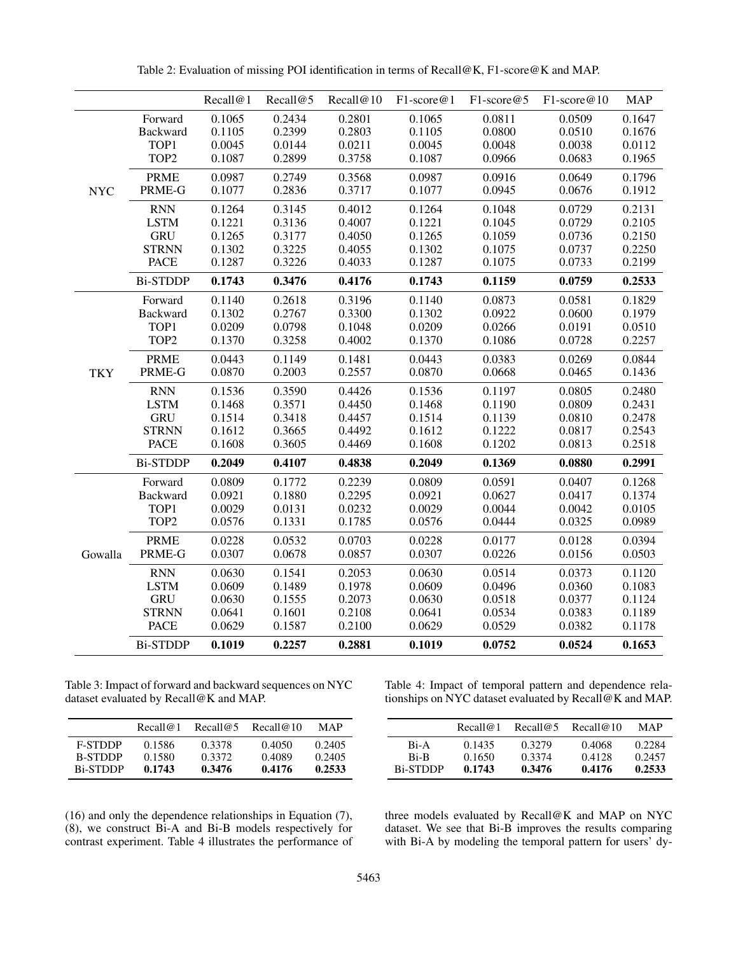|                           |                  | Recall@1 | Recall@5 | Recall@10 | $F1-score@1$ | $F1-score@5$ | $F1-score@10$ | <b>MAP</b> |
|---------------------------|------------------|----------|----------|-----------|--------------|--------------|---------------|------------|
| $\ensuremath{\text{NYC}}$ | Forward          | 0.1065   | 0.2434   | 0.2801    | 0.1065       | 0.0811       | 0.0509        | 0.1647     |
|                           | Backward         | 0.1105   | 0.2399   | 0.2803    | 0.1105       | 0.0800       | 0.0510        | 0.1676     |
|                           | TOP1             | 0.0045   | 0.0144   | 0.0211    | 0.0045       | 0.0048       | 0.0038        | 0.0112     |
|                           | TOP <sub>2</sub> | 0.1087   | 0.2899   | 0.3758    | 0.1087       | 0.0966       | 0.0683        | 0.1965     |
|                           | <b>PRME</b>      | 0.0987   | 0.2749   | 0.3568    | 0.0987       | 0.0916       | 0.0649        | 0.1796     |
|                           | PRME-G           | 0.1077   | 0.2836   | 0.3717    | 0.1077       | 0.0945       | 0.0676        | 0.1912     |
|                           | <b>RNN</b>       | 0.1264   | 0.3145   | 0.4012    | 0.1264       | 0.1048       | 0.0729        | 0.2131     |
|                           | <b>LSTM</b>      | 0.1221   | 0.3136   | 0.4007    | 0.1221       | 0.1045       | 0.0729        | 0.2105     |
|                           | <b>GRU</b>       | 0.1265   | 0.3177   | 0.4050    | 0.1265       | 0.1059       | 0.0736        | 0.2150     |
|                           | <b>STRNN</b>     | 0.1302   | 0.3225   | 0.4055    | 0.1302       | 0.1075       | 0.0737        | 0.2250     |
|                           | <b>PACE</b>      | 0.1287   | 0.3226   | 0.4033    | 0.1287       | 0.1075       | 0.0733        | 0.2199     |
|                           | <b>Bi-STDDP</b>  | 0.1743   | 0.3476   | 0.4176    | 0.1743       | 0.1159       | 0.0759        | 0.2533     |
|                           | Forward          | 0.1140   | 0.2618   | 0.3196    | 0.1140       | 0.0873       | 0.0581        | 0.1829     |
|                           | Backward         | 0.1302   | 0.2767   | 0.3300    | 0.1302       | 0.0922       | 0.0600        | 0.1979     |
|                           | TOP1             | 0.0209   | 0.0798   | 0.1048    | 0.0209       | 0.0266       | 0.0191        | 0.0510     |
|                           | TOP <sub>2</sub> | 0.1370   | 0.3258   | 0.4002    | 0.1370       | 0.1086       | 0.0728        | 0.2257     |
|                           | <b>PRME</b>      | 0.0443   | 0.1149   | 0.1481    | 0.0443       | 0.0383       | 0.0269        | 0.0844     |
| <b>TKY</b>                | PRME-G           | 0.0870   | 0.2003   | 0.2557    | 0.0870       | 0.0668       | 0.0465        | 0.1436     |
|                           | <b>RNN</b>       | 0.1536   | 0.3590   | 0.4426    | 0.1536       | 0.1197       | 0.0805        | 0.2480     |
|                           | <b>LSTM</b>      | 0.1468   | 0.3571   | 0.4450    | 0.1468       | 0.1190       | 0.0809        | 0.2431     |
|                           | <b>GRU</b>       | 0.1514   | 0.3418   | 0.4457    | 0.1514       | 0.1139       | 0.0810        | 0.2478     |
|                           | <b>STRNN</b>     | 0.1612   | 0.3665   | 0.4492    | 0.1612       | 0.1222       | 0.0817        | 0.2543     |
|                           | <b>PACE</b>      | 0.1608   | 0.3605   | 0.4469    | 0.1608       | 0.1202       | 0.0813        | 0.2518     |
|                           | <b>Bi-STDDP</b>  | 0.2049   | 0.4107   | 0.4838    | 0.2049       | 0.1369       | 0.0880        | 0.2991     |
| Gowalla                   | Forward          | 0.0809   | 0.1772   | 0.2239    | 0.0809       | 0.0591       | 0.0407        | 0.1268     |
|                           | <b>Backward</b>  | 0.0921   | 0.1880   | 0.2295    | 0.0921       | 0.0627       | 0.0417        | 0.1374     |
|                           | TOP1             | 0.0029   | 0.0131   | 0.0232    | 0.0029       | 0.0044       | 0.0042        | 0.0105     |
|                           | TOP <sub>2</sub> | 0.0576   | 0.1331   | 0.1785    | 0.0576       | 0.0444       | 0.0325        | 0.0989     |
|                           | <b>PRME</b>      | 0.0228   | 0.0532   | 0.0703    | 0.0228       | 0.0177       | 0.0128        | 0.0394     |
|                           | PRME-G           | 0.0307   | 0.0678   | 0.0857    | 0.0307       | 0.0226       | 0.0156        | 0.0503     |
|                           | <b>RNN</b>       | 0.0630   | 0.1541   | 0.2053    | 0.0630       | 0.0514       | 0.0373        | 0.1120     |
|                           | <b>LSTM</b>      | 0.0609   | 0.1489   | 0.1978    | 0.0609       | 0.0496       | 0.0360        | 0.1083     |
|                           | <b>GRU</b>       | 0.0630   | 0.1555   | 0.2073    | 0.0630       | 0.0518       | 0.0377        | 0.1124     |
|                           | <b>STRNN</b>     | 0.0641   | 0.1601   | 0.2108    | 0.0641       | 0.0534       | 0.0383        | 0.1189     |
|                           | <b>PACE</b>      | 0.0629   | 0.1587   | 0.2100    | 0.0629       | 0.0529       | 0.0382        | 0.1178     |
|                           | <b>Bi-STDDP</b>  | 0.1019   | 0.2257   | 0.2881    | 0.1019       | 0.0752       | 0.0524        | 0.1653     |

Table 2: Evaluation of missing POI identification in terms of Recall@K, F1-score@K and MAP.

Table 3: Impact of forward and backward sequences on NYC dataset evaluated by Recall@K and MAP.

|                | Recall@1 | Recall@5 | Recall@10 | MAP    |
|----------------|----------|----------|-----------|--------|
| <b>F-STDDP</b> | 0.1586   | 0.3378   | 0.4050    | 0.2405 |
| <b>B-STDDP</b> | 0.1580   | 0.3372   | 0.4089    | 0.2405 |
| Bi-STDDP       | 0.1743   | 0.3476   | 0.4176    | 0.2533 |

(16) and only the dependence relationships in Equation (7), (8), we construct Bi-A and Bi-B models respectively for contrast experiment. Table 4 illustrates the performance of Table 4: Impact of temporal pattern and dependence relationships on NYC dataset evaluated by Recall@K and MAP.

|                         | Recall@1         | Recall@5         | Recall@10        | MAP              |
|-------------------------|------------------|------------------|------------------|------------------|
| $\mathbf{Bi-A}$<br>Bi-B | 0.1435<br>0.1650 | 0.3279<br>0.3374 | 0.4068<br>0.4128 | 0.2284<br>0.2457 |
| <b>Bi-STDDP</b>         | 0.1743           | 0.3476           | 0.4176           | 0.2533           |

three models evaluated by Recall@K and MAP on NYC dataset. We see that Bi-B improves the results comparing with Bi-A by modeling the temporal pattern for users' dy-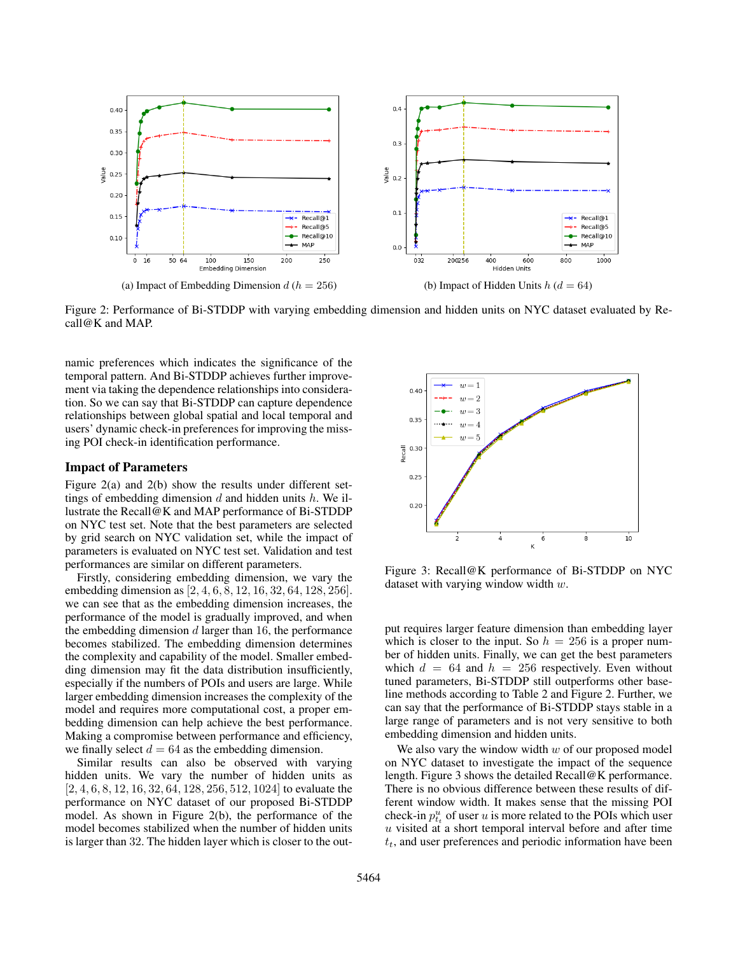

Figure 2: Performance of Bi-STDDP with varying embedding dimension and hidden units on NYC dataset evaluated by Recall@K and MAP.

namic preferences which indicates the significance of the temporal pattern. And Bi-STDDP achieves further improvement via taking the dependence relationships into consideration. So we can say that Bi-STDDP can capture dependence relationships between global spatial and local temporal and users' dynamic check-in preferences for improving the missing POI check-in identification performance.

#### Impact of Parameters

Figure 2(a) and 2(b) show the results under different settings of embedding dimension  $d$  and hidden units  $h$ . We illustrate the Recall@K and MAP performance of Bi-STDDP on NYC test set. Note that the best parameters are selected by grid search on NYC validation set, while the impact of parameters is evaluated on NYC test set. Validation and test performances are similar on different parameters.

Firstly, considering embedding dimension, we vary the embedding dimension as [2, 4, 6, 8, 12, 16, 32, 64, 128, 256]. we can see that as the embedding dimension increases, the performance of the model is gradually improved, and when the embedding dimension  $d$  larger than 16, the performance becomes stabilized. The embedding dimension determines the complexity and capability of the model. Smaller embedding dimension may fit the data distribution insufficiently, especially if the numbers of POIs and users are large. While larger embedding dimension increases the complexity of the model and requires more computational cost, a proper embedding dimension can help achieve the best performance. Making a compromise between performance and efficiency, we finally select  $d = 64$  as the embedding dimension.

Similar results can also be observed with varying hidden units. We vary the number of hidden units as [2, 4, 6, 8, 12, 16, 32, 64, 128, 256, 512, 1024] to evaluate the performance on NYC dataset of our proposed Bi-STDDP model. As shown in Figure 2(b), the performance of the model becomes stabilized when the number of hidden units is larger than 32. The hidden layer which is closer to the out-



Figure 3: Recall@K performance of Bi-STDDP on NYC dataset with varying window width w.

put requires larger feature dimension than embedding layer which is closer to the input. So  $h = 256$  is a proper number of hidden units. Finally, we can get the best parameters which  $d = 64$  and  $h = 256$  respectively. Even without tuned parameters, Bi-STDDP still outperforms other baseline methods according to Table 2 and Figure 2. Further, we can say that the performance of Bi-STDDP stays stable in a large range of parameters and is not very sensitive to both embedding dimension and hidden units.

We also vary the window width  $w$  of our proposed model on NYC dataset to investigate the impact of the sequence length. Figure 3 shows the detailed Recall@K performance. There is no obvious difference between these results of different window width. It makes sense that the missing POI check-in  $p_{t_t}^u$  of user u is more related to the POIs which user  $u$  visited at a short temporal interval before and after time  $t_t$ , and user preferences and periodic information have been